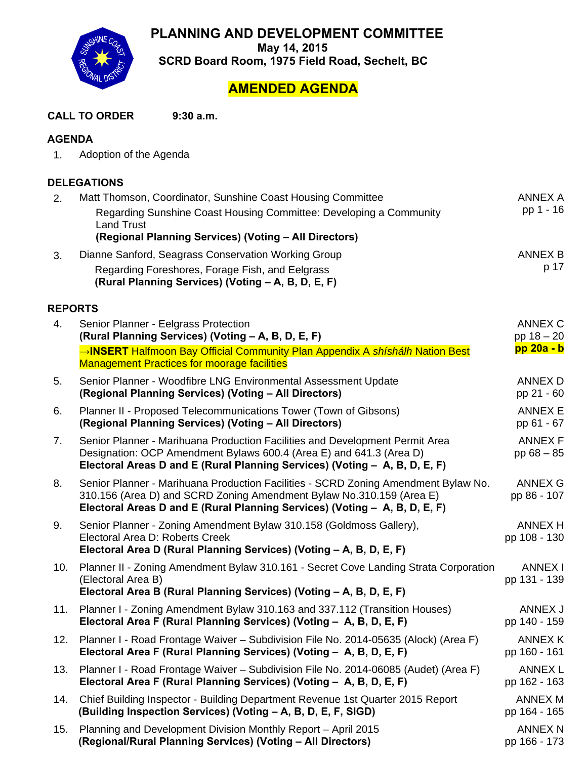**PLANNING AND DEVELOPMENT COMMITTEE** 

**May 14, 2015** 



**SCRD Board Room, 1975 Field Road, Sechelt, BC** 

## **AMENDED AGENDA**

**CALL TO ORDER 9:30 a.m.**

## **AGENDA**

| 1. | Adoption of the Agenda |
|----|------------------------|
|----|------------------------|

## **DELEGATIONS**

| 2.  | Matt Thomson, Coordinator, Sunshine Coast Housing Committee                                                                                                                                                                              | ANNEX A                        |  |  |  |  |
|-----|------------------------------------------------------------------------------------------------------------------------------------------------------------------------------------------------------------------------------------------|--------------------------------|--|--|--|--|
|     | Regarding Sunshine Coast Housing Committee: Developing a Community<br><b>Land Trust</b>                                                                                                                                                  | pp 1 - 16                      |  |  |  |  |
|     | (Regional Planning Services) (Voting - All Directors)                                                                                                                                                                                    |                                |  |  |  |  |
| 3.  | Dianne Sanford, Seagrass Conservation Working Group                                                                                                                                                                                      | ANNEX B                        |  |  |  |  |
|     | Regarding Foreshores, Forage Fish, and Eelgrass<br>(Rural Planning Services) (Voting - A, B, D, E, F)                                                                                                                                    | p 17                           |  |  |  |  |
|     | <b>REPORTS</b>                                                                                                                                                                                                                           |                                |  |  |  |  |
| 4.  | Senior Planner - Eelgrass Protection<br>(Rural Planning Services) (Voting - A, B, D, E, F)                                                                                                                                               | ANNEX C<br>pp $18 - 20$        |  |  |  |  |
|     | →INSERT Halfmoon Bay Official Community Plan Appendix A shishalh Nation Best<br><b>Management Practices for moorage facilities</b>                                                                                                       | pp 20a - b                     |  |  |  |  |
| 5.  | Senior Planner - Woodfibre LNG Environmental Assessment Update<br>(Regional Planning Services) (Voting - All Directors)                                                                                                                  | ANNEX D<br>pp 21 - 60          |  |  |  |  |
| 6.  | Planner II - Proposed Telecommunications Tower (Town of Gibsons)<br>(Regional Planning Services) (Voting - All Directors)                                                                                                                | <b>ANNEX E</b><br>pp 61 - 67   |  |  |  |  |
| 7.  | Senior Planner - Marihuana Production Facilities and Development Permit Area<br>Designation: OCP Amendment Bylaws 600.4 (Area E) and 641.3 (Area D)<br>Electoral Areas D and E (Rural Planning Services) (Voting - A, B, D, E, F)        | <b>ANNEX F</b><br>pp $68 - 85$ |  |  |  |  |
| 8.  | Senior Planner - Marihuana Production Facilities - SCRD Zoning Amendment Bylaw No.<br>310.156 (Area D) and SCRD Zoning Amendment Bylaw No.310.159 (Area E)<br>Electoral Areas D and E (Rural Planning Services) (Voting - A, B, D, E, F) | <b>ANNEX G</b><br>pp 86 - 107  |  |  |  |  |
| 9.  | Senior Planner - Zoning Amendment Bylaw 310.158 (Goldmoss Gallery),<br>Electoral Area D: Roberts Creek<br>Electoral Area D (Rural Planning Services) (Voting - A, B, D, E, F)                                                            | <b>ANNEX H</b><br>pp 108 - 130 |  |  |  |  |
| 10. | Planner II - Zoning Amendment Bylaw 310.161 - Secret Cove Landing Strata Corporation<br>(Electoral Area B)<br>Electoral Area B (Rural Planning Services) (Voting - A, B, D, E, F)                                                        | <b>ANNEX I</b><br>pp 131 - 139 |  |  |  |  |
| 11. | Planner I - Zoning Amendment Bylaw 310.163 and 337.112 (Transition Houses)<br>Electoral Area F (Rural Planning Services) (Voting - A, B, D, E, F)                                                                                        | ANNEX J<br>pp 140 - 159        |  |  |  |  |
| 12. | Planner I - Road Frontage Waiver - Subdivision File No. 2014-05635 (Alock) (Area F)<br>Electoral Area F (Rural Planning Services) (Voting - A, B, D, E, F)                                                                               | <b>ANNEX K</b><br>pp 160 - 161 |  |  |  |  |
| 13. | Planner I - Road Frontage Waiver – Subdivision File No. 2014-06085 (Audet) (Area F)<br>Electoral Area F (Rural Planning Services) (Voting - A, B, D, E, F)                                                                               | <b>ANNEX L</b><br>pp 162 - 163 |  |  |  |  |
| 14. | Chief Building Inspector - Building Department Revenue 1st Quarter 2015 Report<br>(Building Inspection Services) (Voting - A, B, D, E, F, SIGD)                                                                                          | <b>ANNEX M</b><br>pp 164 - 165 |  |  |  |  |
| 15. | Planning and Development Division Monthly Report - April 2015<br>(Regional/Rural Planning Services) (Voting - All Directors)                                                                                                             | <b>ANNEX N</b><br>pp 166 - 173 |  |  |  |  |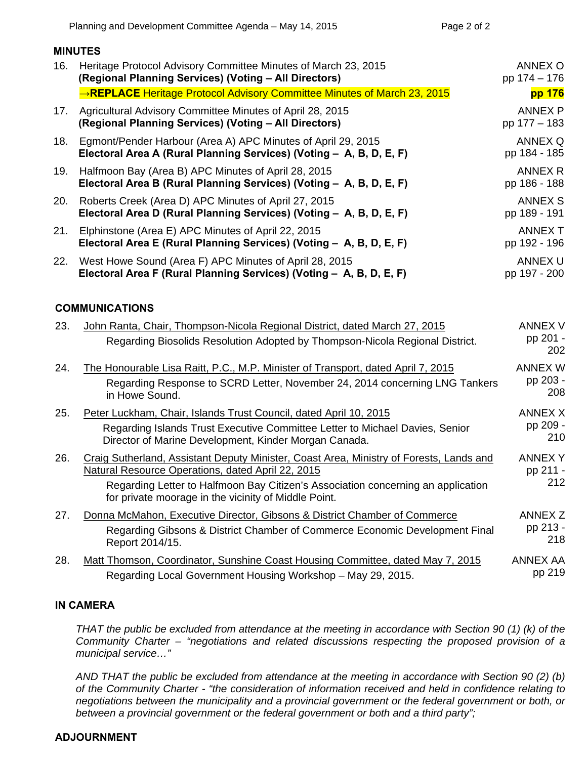| 16. | Heritage Protocol Advisory Committee Minutes of March 23, 2015<br>(Regional Planning Services) (Voting - All Directors)             | ANNEX O<br>pp 174 - 176        |
|-----|-------------------------------------------------------------------------------------------------------------------------------------|--------------------------------|
|     | →REPLACE Heritage Protocol Advisory Committee Minutes of March 23, 2015                                                             | pp 176                         |
|     | 17. Agricultural Advisory Committee Minutes of April 28, 2015<br>(Regional Planning Services) (Voting - All Directors)              | ANNEX P<br>pp 177 - 183        |
| 18. | Egmont/Pender Harbour (Area A) APC Minutes of April 29, 2015<br>Electoral Area A (Rural Planning Services) (Voting - A, B, D, E, F) | ANNEX Q<br>pp 184 - 185        |
| 19. | Halfmoon Bay (Area B) APC Minutes of April 28, 2015<br>Electoral Area B (Rural Planning Services) (Voting - A, B, D, E, F)          | ANNEX R<br>pp 186 - 188        |
| 20. | Roberts Creek (Area D) APC Minutes of April 27, 2015<br>Electoral Area D (Rural Planning Services) (Voting - A, B, D, E, F)         | ANNEX S<br>pp 189 - 191        |
| 21. | Elphinstone (Area E) APC Minutes of April 22, 2015<br>Electoral Area E (Rural Planning Services) (Voting - A, B, D, E, F)           | <b>ANNEX T</b><br>pp 192 - 196 |
|     | 22. West Howe Sound (Area F) APC Minutes of April 28, 2015<br>Electoral Area F (Rural Planning Services) (Voting - A, B, D, E, F)   | ANNEX U<br>pp 197 - 200        |
|     |                                                                                                                                     |                                |

#### **COMMUNICATIONS**

**MINUTES** 

| 23. | John Ranta, Chair, Thompson-Nicola Regional District, dated March 27, 2015<br>Regarding Biosolids Resolution Adopted by Thompson-Nicola Regional District.                                                                                                                               | ANNEX V<br>pp 201 -<br>202        |
|-----|------------------------------------------------------------------------------------------------------------------------------------------------------------------------------------------------------------------------------------------------------------------------------------------|-----------------------------------|
| 24. | The Honourable Lisa Raitt, P.C., M.P. Minister of Transport, dated April 7, 2015<br>Regarding Response to SCRD Letter, November 24, 2014 concerning LNG Tankers<br>in Howe Sound.                                                                                                        | ANNEX W<br>pp 203 -<br>208        |
| 25. | Peter Luckham, Chair, Islands Trust Council, dated April 10, 2015<br>Regarding Islands Trust Executive Committee Letter to Michael Davies, Senior<br>Director of Marine Development, Kinder Morgan Canada.                                                                               | <b>ANNEX X</b><br>pp 209 -<br>210 |
| 26. | Craig Sutherland, Assistant Deputy Minister, Coast Area, Ministry of Forests, Lands and<br>Natural Resource Operations, dated April 22, 2015<br>Regarding Letter to Halfmoon Bay Citizen's Association concerning an application<br>for private moorage in the vicinity of Middle Point. | ANNEX Y<br>pp 211 -<br>212        |
| 27. | Donna McMahon, Executive Director, Gibsons & District Chamber of Commerce<br>Regarding Gibsons & District Chamber of Commerce Economic Development Final<br>Report 2014/15.                                                                                                              | ANNEX Z<br>pp 213 -<br>218        |
| 28. | Matt Thomson, Coordinator, Sunshine Coast Housing Committee, dated May 7, 2015<br>Regarding Local Government Housing Workshop - May 29, 2015.                                                                                                                                            | ANNEX AA<br>pp 219                |

#### **IN CAMERA**

*THAT the public be excluded from attendance at the meeting in accordance with Section 90 (1) (k) of the Community Charter – "negotiations and related discussions respecting the proposed provision of a municipal service…"* 

*AND THAT the public be excluded from attendance at the meeting in accordance with Section 90 (2) (b) of the Community Charter - "the consideration of information received and held in confidence relating to negotiations between the municipality and a provincial government or the federal government or both, or between a provincial government or the federal government or both and a third party";* 

#### **ADJOURNMENT**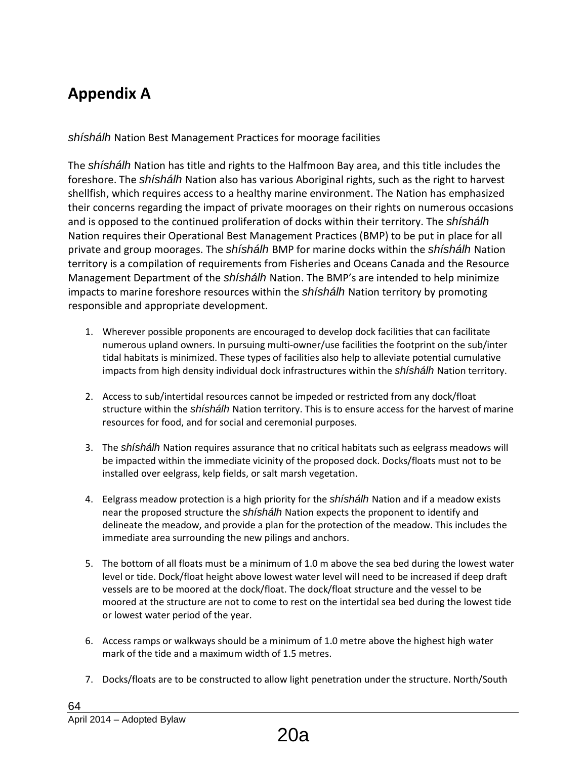# <span id="page-2-0"></span>**Appendix A**

*shíshálh* Nation Best Management Practices for moorage facilities

The *shíshálh* Nation has title and rights to the Halfmoon Bay area, and this title includes the foreshore. The *shíshálh* Nation also has various Aboriginal rights, such as the right to harvest shellfish, which requires access to a healthy marine environment. The Nation has emphasized their concerns regarding the impact of private moorages on their rights on numerous occasions and is opposed to the continued proliferation of docks within their territory. The *shíshálh*  Nation requires their Operational Best Management Practices (BMP) to be put in place for all private and group moorages. The *shíshálh* BMP for marine docks within the *shíshálh* Nation territory is a compilation of requirements from Fisheries and Oceans Canada and the Resource Management Department of the *shíshálh* Nation. The BMP's are intended to help minimize impacts to marine foreshore resources within the *shíshálh* Nation territory by promoting responsible and appropriate development.

- 1. Wherever possible proponents are encouraged to develop dock facilities that can facilitate numerous upland owners. In pursuing multi-owner/use facilities the footprint on the sub/inter tidal habitats is minimized. These types of facilities also help to alleviate potential cumulative impacts from high density individual dock infrastructures within the *shíshálh* Nation territory.
- 2. Access to sub/intertidal resources cannot be impeded or restricted from any dock/float structure within the *shíshálh* Nation territory. This is to ensure access for the harvest of marine resources for food, and for social and ceremonial purposes.
- 3. The *shíshálh* Nation requires assurance that no critical habitats such as eelgrass meadows will be impacted within the immediate vicinity of the proposed dock. Docks/floats must not to be installed over eelgrass, kelp fields, or salt marsh vegetation.
- 4. Eelgrass meadow protection is a high priority for the *shíshálh* Nation and if a meadow exists near the proposed structure the *shíshálh* Nation expects the proponent to identify and delineate the meadow, and provide a plan for the protection of the meadow. This includes the immediate area surrounding the new pilings and anchors.
- 5. The bottom of all floats must be a minimum of 1.0 m above the sea bed during the lowest water level or tide. Dock/float height above lowest water level will need to be increased if deep draft vessels are to be moored at the dock/float. The dock/float structure and the vessel to be moored at the structure are not to come to rest on the intertidal sea bed during the lowest tide or lowest water period of the year.
- 6. Access ramps or walkways should be a minimum of 1.0 metre above the highest high water mark of the tide and a maximum width of 1.5 metres.
- 7. Docks/floats are to be constructed to allow light penetration under the structure. North/South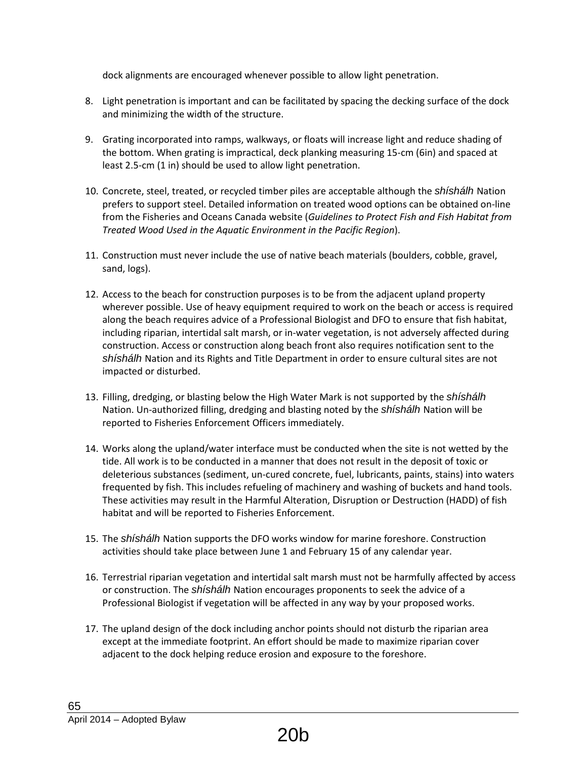dock alignments are encouraged whenever possible to allow light penetration.

- 8. Light penetration is important and can be facilitated by spacing the decking surface of the dock and minimizing the width of the structure.
- 9. Grating incorporated into ramps, walkways, or floats will increase light and reduce shading of the bottom. When grating is impractical, deck planking measuring 15-cm (6in) and spaced at least 2.5-cm (1 in) should be used to allow light penetration.
- 10. Concrete, steel, treated, or recycled timber piles are acceptable although the *shíshálh* Nation prefers to support steel. Detailed information on treated wood options can be obtained on-line from the Fisheries and Oceans Canada website (*Guidelines to Protect Fish and Fish Habitat from Treated Wood Used in the Aquatic Environment in the Pacific Region*).
- 11. Construction must never include the use of native beach materials (boulders, cobble, gravel, sand, logs).
- 12. Access to the beach for construction purposes is to be from the adjacent upland property wherever possible. Use of heavy equipment required to work on the beach or access is required along the beach requires advice of a Professional Biologist and DFO to ensure that fish habitat, including riparian, intertidal salt marsh, or in-water vegetation, is not adversely affected during construction. Access or construction along beach front also requires notification sent to the *shíshálh* Nation and its Rights and Title Department in order to ensure cultural sites are not impacted or disturbed.
- 13. Filling, dredging, or blasting below the High Water Mark is not supported by the *shíshálh*  Nation. Un-authorized filling, dredging and blasting noted by the *shíshálh* Nation will be reported to Fisheries Enforcement Officers immediately.
- 14. Works along the upland/water interface must be conducted when the site is not wetted by the tide. All work is to be conducted in a manner that does not result in the deposit of toxic or deleterious substances (sediment, un-cured concrete, fuel, lubricants, paints, stains) into waters frequented by fish. This includes refueling of machinery and washing of buckets and hand tools. These activities may result in the Harmful Alteration, Disruption or Destruction (HADD) of fish habitat and will be reported to Fisheries Enforcement.
- 15. The *shíshálh* Nation supports the DFO works window for marine foreshore. Construction activities should take place between June 1 and February 15 of any calendar year.
- 16. Terrestrial riparian vegetation and intertidal salt marsh must not be harmfully affected by access or construction. The *shíshálh* Nation encourages proponents to seek the advice of a Professional Biologist if vegetation will be affected in any way by your proposed works.
- 17. The upland design of the dock including anchor points should not disturb the riparian area except at the immediate footprint. An effort should be made to maximize riparian cover adjacent to the dock helping reduce erosion and exposure to the foreshore.